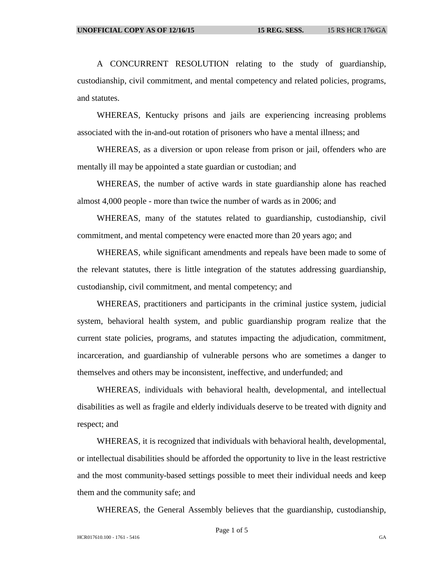A CONCURRENT RESOLUTION relating to the study of guardianship, custodianship, civil commitment, and mental competency and related policies, programs, and statutes.

WHEREAS, Kentucky prisons and jails are experiencing increasing problems associated with the in-and-out rotation of prisoners who have a mental illness; and

WHEREAS, as a diversion or upon release from prison or jail, offenders who are mentally ill may be appointed a state guardian or custodian; and

WHEREAS, the number of active wards in state guardianship alone has reached almost 4,000 people - more than twice the number of wards as in 2006; and

WHEREAS, many of the statutes related to guardianship, custodianship, civil commitment, and mental competency were enacted more than 20 years ago; and

WHEREAS, while significant amendments and repeals have been made to some of the relevant statutes, there is little integration of the statutes addressing guardianship, custodianship, civil commitment, and mental competency; and

WHEREAS, practitioners and participants in the criminal justice system, judicial system, behavioral health system, and public guardianship program realize that the current state policies, programs, and statutes impacting the adjudication, commitment, incarceration, and guardianship of vulnerable persons who are sometimes a danger to themselves and others may be inconsistent, ineffective, and underfunded; and

WHEREAS, individuals with behavioral health, developmental, and intellectual disabilities as well as fragile and elderly individuals deserve to be treated with dignity and respect; and

WHEREAS, it is recognized that individuals with behavioral health, developmental, or intellectual disabilities should be afforded the opportunity to live in the least restrictive and the most community-based settings possible to meet their individual needs and keep them and the community safe; and

WHEREAS, the General Assembly believes that the guardianship, custodianship,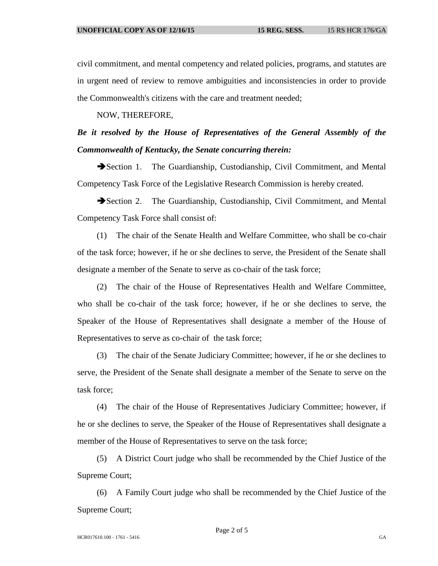civil commitment, and mental competency and related policies, programs, and statutes are in urgent need of review to remove ambiguities and inconsistencies in order to provide the Commonwealth's citizens with the care and treatment needed;

NOW, THEREFORE,

## *Be it resolved by the House of Representatives of the General Assembly of the Commonwealth of Kentucky, the Senate concurring therein:*

Section 1. The Guardianship, Custodianship, Civil Commitment, and Mental Competency Task Force of the Legislative Research Commission is hereby created.

Section 2. The Guardianship, Custodianship, Civil Commitment, and Mental Competency Task Force shall consist of:

(1) The chair of the Senate Health and Welfare Committee, who shall be co-chair of the task force; however, if he or she declines to serve, the President of the Senate shall designate a member of the Senate to serve as co-chair of the task force;

(2) The chair of the House of Representatives Health and Welfare Committee, who shall be co-chair of the task force; however, if he or she declines to serve, the Speaker of the House of Representatives shall designate a member of the House of Representatives to serve as co-chair of the task force;

(3) The chair of the Senate Judiciary Committee; however, if he or she declines to serve, the President of the Senate shall designate a member of the Senate to serve on the task force;

(4) The chair of the House of Representatives Judiciary Committee; however, if he or she declines to serve, the Speaker of the House of Representatives shall designate a member of the House of Representatives to serve on the task force;

(5) A District Court judge who shall be recommended by the Chief Justice of the Supreme Court;

(6) A Family Court judge who shall be recommended by the Chief Justice of the Supreme Court;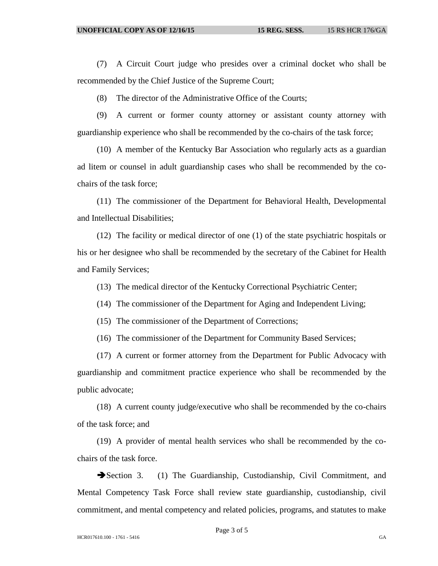(7) A Circuit Court judge who presides over a criminal docket who shall be recommended by the Chief Justice of the Supreme Court;

(8) The director of the Administrative Office of the Courts;

(9) A current or former county attorney or assistant county attorney with guardianship experience who shall be recommended by the co-chairs of the task force;

(10) A member of the Kentucky Bar Association who regularly acts as a guardian ad litem or counsel in adult guardianship cases who shall be recommended by the cochairs of the task force;

(11) The commissioner of the Department for Behavioral Health, Developmental and Intellectual Disabilities;

(12) The facility or medical director of one (1) of the state psychiatric hospitals or his or her designee who shall be recommended by the secretary of the Cabinet for Health and Family Services;

(13) The medical director of the Kentucky Correctional Psychiatric Center;

(14) The commissioner of the Department for Aging and Independent Living;

(15) The commissioner of the Department of Corrections;

(16) The commissioner of the Department for Community Based Services;

(17) A current or former attorney from the Department for Public Advocacy with guardianship and commitment practice experience who shall be recommended by the public advocate;

(18) A current county judge/executive who shall be recommended by the co-chairs of the task force; and

(19) A provider of mental health services who shall be recommended by the cochairs of the task force.

Section 3. (1) The Guardianship, Custodianship, Civil Commitment, and Mental Competency Task Force shall review state guardianship, custodianship, civil commitment, and mental competency and related policies, programs, and statutes to make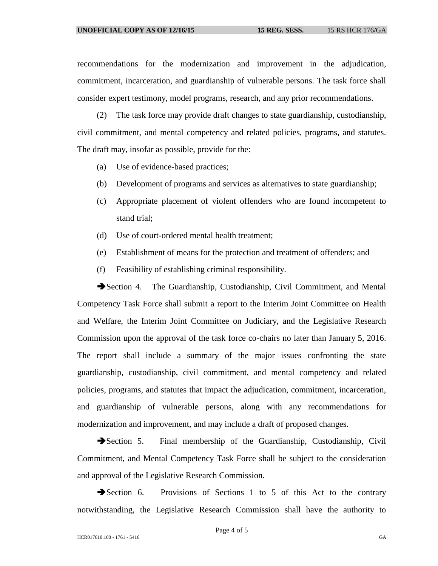recommendations for the modernization and improvement in the adjudication, commitment, incarceration, and guardianship of vulnerable persons. The task force shall consider expert testimony, model programs, research, and any prior recommendations.

(2) The task force may provide draft changes to state guardianship, custodianship, civil commitment, and mental competency and related policies, programs, and statutes. The draft may, insofar as possible, provide for the:

- (a) Use of evidence-based practices;
- (b) Development of programs and services as alternatives to state guardianship;
- (c) Appropriate placement of violent offenders who are found incompetent to stand trial;
- (d) Use of court-ordered mental health treatment;
- (e) Establishment of means for the protection and treatment of offenders; and
- (f) Feasibility of establishing criminal responsibility.

Section 4. The Guardianship, Custodianship, Civil Commitment, and Mental Competency Task Force shall submit a report to the Interim Joint Committee on Health and Welfare, the Interim Joint Committee on Judiciary, and the Legislative Research Commission upon the approval of the task force co-chairs no later than January 5, 2016. The report shall include a summary of the major issues confronting the state guardianship, custodianship, civil commitment, and mental competency and related policies, programs, and statutes that impact the adjudication, commitment, incarceration, and guardianship of vulnerable persons, along with any recommendations for modernization and improvement, and may include a draft of proposed changes.

Section 5. Final membership of the Guardianship, Custodianship, Civil Commitment, and Mental Competency Task Force shall be subject to the consideration and approval of the Legislative Research Commission.

Section 6. Provisions of Sections 1 to 5 of this Act to the contrary notwithstanding, the Legislative Research Commission shall have the authority to